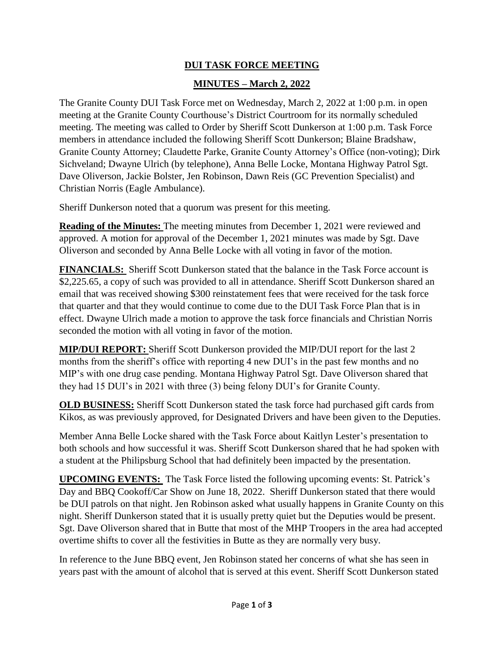## **DUI TASK FORCE MEETING**

## **MINUTES – March 2, 2022**

The Granite County DUI Task Force met on Wednesday, March 2, 2022 at 1:00 p.m. in open meeting at the Granite County Courthouse's District Courtroom for its normally scheduled meeting. The meeting was called to Order by Sheriff Scott Dunkerson at 1:00 p.m. Task Force members in attendance included the following Sheriff Scott Dunkerson; Blaine Bradshaw, Granite County Attorney; Claudette Parke, Granite County Attorney's Office (non-voting); Dirk Sichveland; Dwayne Ulrich (by telephone), Anna Belle Locke, Montana Highway Patrol Sgt. Dave Oliverson, Jackie Bolster, Jen Robinson, Dawn Reis (GC Prevention Specialist) and Christian Norris (Eagle Ambulance).

Sheriff Dunkerson noted that a quorum was present for this meeting.

**Reading of the Minutes:** The meeting minutes from December 1, 2021 were reviewed and approved. A motion for approval of the December 1, 2021 minutes was made by Sgt. Dave Oliverson and seconded by Anna Belle Locke with all voting in favor of the motion.

**FINANCIALS:** Sheriff Scott Dunkerson stated that the balance in the Task Force account is \$2,225.65, a copy of such was provided to all in attendance. Sheriff Scott Dunkerson shared an email that was received showing \$300 reinstatement fees that were received for the task force that quarter and that they would continue to come due to the DUI Task Force Plan that is in effect. Dwayne Ulrich made a motion to approve the task force financials and Christian Norris seconded the motion with all voting in favor of the motion.

**MIP/DUI REPORT:** Sheriff Scott Dunkerson provided the MIP/DUI report for the last 2 months from the sheriff's office with reporting 4 new DUI's in the past few months and no MIP's with one drug case pending. Montana Highway Patrol Sgt. Dave Oliverson shared that they had 15 DUI's in 2021 with three (3) being felony DUI's for Granite County.

**OLD BUSINESS:** Sheriff Scott Dunkerson stated the task force had purchased gift cards from Kikos, as was previously approved, for Designated Drivers and have been given to the Deputies.

Member Anna Belle Locke shared with the Task Force about Kaitlyn Lester's presentation to both schools and how successful it was. Sheriff Scott Dunkerson shared that he had spoken with a student at the Philipsburg School that had definitely been impacted by the presentation.

**UPCOMING EVENTS:** The Task Force listed the following upcoming events: St. Patrick's Day and BBQ Cookoff/Car Show on June 18, 2022. Sheriff Dunkerson stated that there would be DUI patrols on that night. Jen Robinson asked what usually happens in Granite County on this night. Sheriff Dunkerson stated that it is usually pretty quiet but the Deputies would be present. Sgt. Dave Oliverson shared that in Butte that most of the MHP Troopers in the area had accepted overtime shifts to cover all the festivities in Butte as they are normally very busy.

In reference to the June BBQ event, Jen Robinson stated her concerns of what she has seen in years past with the amount of alcohol that is served at this event. Sheriff Scott Dunkerson stated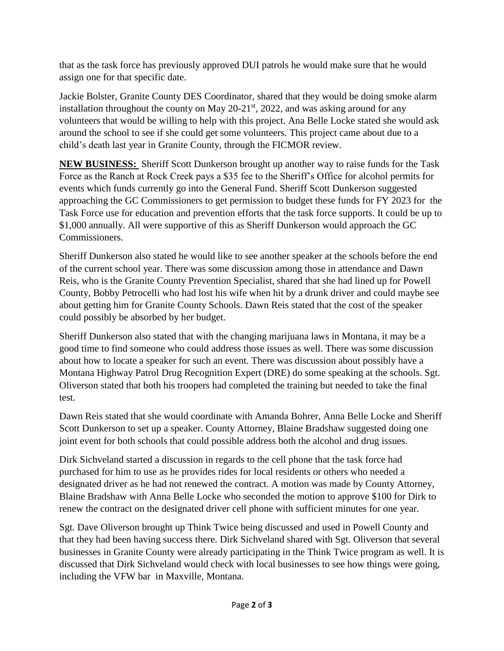that as the task force has previously approved DUI patrols he would make sure that he would assign one for that specific date.

Jackie Bolster, Granite County DES Coordinator, shared that they would be doing smoke alarm installation throughout the county on May  $20-21<sup>st</sup>$ ,  $2022$ , and was asking around for any volunteers that would be willing to help with this project. Ana Belle Locke stated she would ask around the school to see if she could get some volunteers. This project came about due to a child's death last year in Granite County, through the FICMOR review.

**NEW BUSINESS:** Sheriff Scott Dunkerson brought up another way to raise funds for the Task Force as the Ranch at Rock Creek pays a \$35 fee to the Sheriff's Office for alcohol permits for events which funds currently go into the General Fund. Sheriff Scott Dunkerson suggested approaching the GC Commissioners to get permission to budget these funds for FY 2023 for the Task Force use for education and prevention efforts that the task force supports. It could be up to \$1,000 annually. All were supportive of this as Sheriff Dunkerson would approach the GC Commissioners.

Sheriff Dunkerson also stated he would like to see another speaker at the schools before the end of the current school year. There was some discussion among those in attendance and Dawn Reis, who is the Granite County Prevention Specialist, shared that she had lined up for Powell County, Bobby Petrocelli who had lost his wife when hit by a drunk driver and could maybe see about getting him for Granite County Schools. Dawn Reis stated that the cost of the speaker could possibly be absorbed by her budget.

Sheriff Dunkerson also stated that with the changing marijuana laws in Montana, it may be a good time to find someone who could address those issues as well. There was some discussion about how to locate a speaker for such an event. There was discussion about possibly have a Montana Highway Patrol Drug Recognition Expert (DRE) do some speaking at the schools. Sgt. Oliverson stated that both his troopers had completed the training but needed to take the final test.

Dawn Reis stated that she would coordinate with Amanda Bohrer, Anna Belle Locke and Sheriff Scott Dunkerson to set up a speaker. County Attorney, Blaine Bradshaw suggested doing one joint event for both schools that could possible address both the alcohol and drug issues.

Dirk Sichveland started a discussion in regards to the cell phone that the task force had purchased for him to use as he provides rides for local residents or others who needed a designated driver as he had not renewed the contract. A motion was made by County Attorney, Blaine Bradshaw with Anna Belle Locke who seconded the motion to approve \$100 for Dirk to renew the contract on the designated driver cell phone with sufficient minutes for one year.

Sgt. Dave Oliverson brought up Think Twice being discussed and used in Powell County and that they had been having success there. Dirk Sichveland shared with Sgt. Oliverson that several businesses in Granite County were already participating in the Think Twice program as well. It is discussed that Dirk Sichveland would check with local businesses to see how things were going, including the VFW bar in Maxville, Montana.